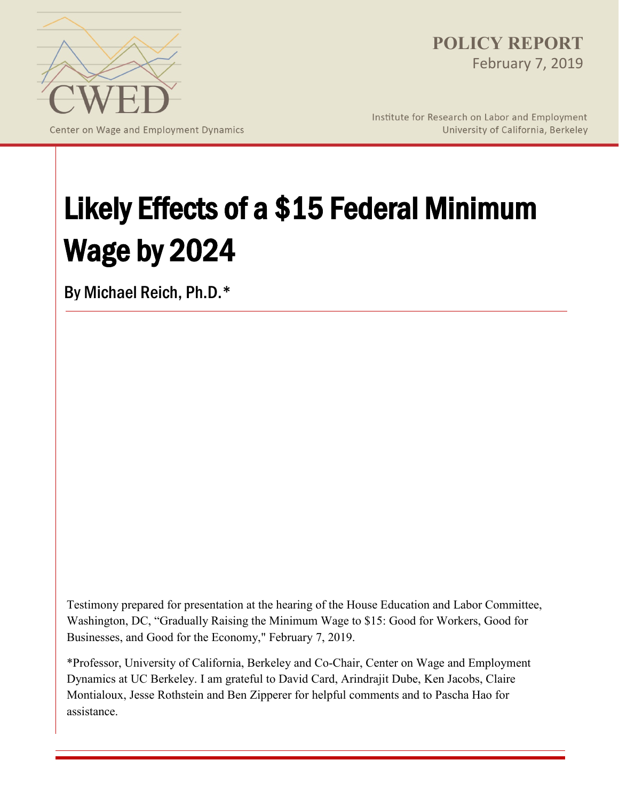

Center on Wage and Employment Dynamics

**POLICY REPORT**  February 7, 2019

Institute for Research on Labor and Employment University of California, Berkeley

# Likely Effects of a \$15 Federal Minimum Wage by 2024

By Michael Reich, Ph.D.\*

Testimony prepared for presentation at the hearing of the House Education and Labor Committee, Washington, DC, "Gradually Raising the Minimum Wage to \$15: Good for Workers, Good for Businesses, and Good for the Economy," February 7, 2019.

\*Professor, University of California, Berkeley and Co-Chair, Center on Wage and Employment Dynamics at UC Berkeley. I am grateful to David Card, Arindrajit Dube, Ken Jacobs, Claire Montialoux, Jesse Rothstein and Ben Zipperer for helpful comments and to Pascha Hao for assistance.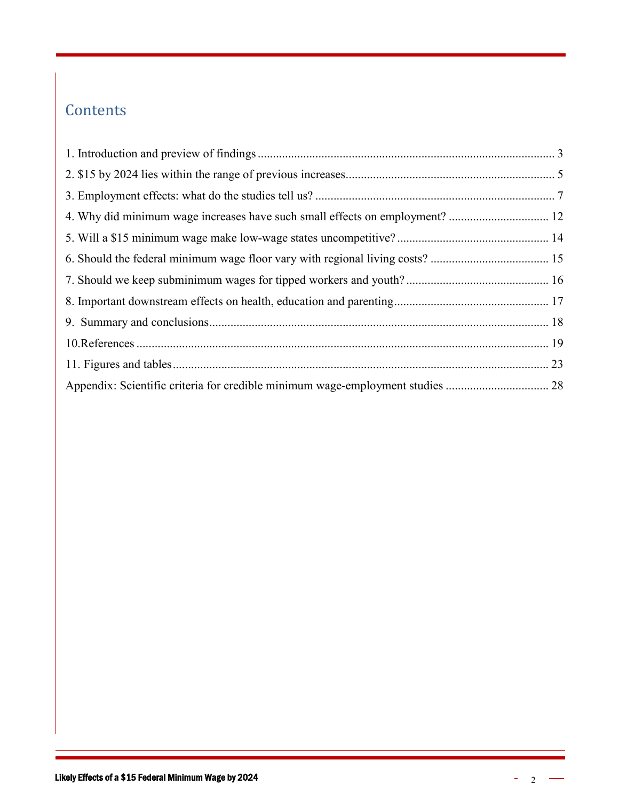#### **Contents**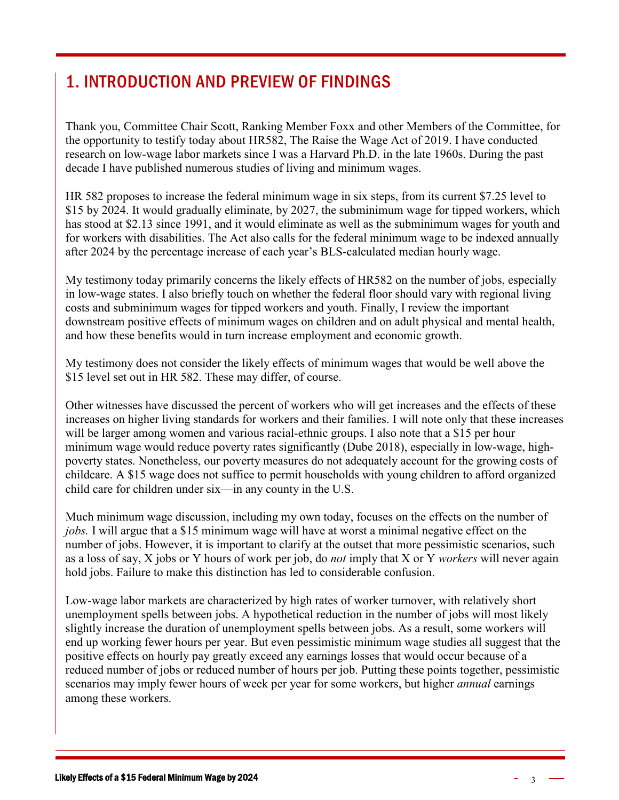#### <span id="page-2-0"></span>1. INTRODUCTION AND PREVIEW OF FINDINGS

Thank you, Committee Chair Scott, Ranking Member Foxx and other Members of the Committee, for the opportunity to testify today about HR582, The Raise the Wage Act of 2019. I have conducted research on low-wage labor markets since I was a Harvard Ph.D. in the late 1960s. During the past decade I have published numerous studies of living and minimum wages.

HR 582 proposes to increase the federal minimum wage in six steps, from its current \$7.25 level to \$15 by 2024. It would gradually eliminate, by 2027, the subminimum wage for tipped workers, which has stood at \$2.13 since 1991, and it would eliminate as well as the subminimum wages for youth and for workers with disabilities. The Act also calls for the federal minimum wage to be indexed annually after 2024 by the percentage increase of each year's BLS-calculated median hourly wage.

My testimony today primarily concerns the likely effects of HR582 on the number of jobs, especially in low-wage states. I also briefly touch on whether the federal floor should vary with regional living costs and subminimum wages for tipped workers and youth. Finally, I review the important downstream positive effects of minimum wages on children and on adult physical and mental health, and how these benefits would in turn increase employment and economic growth.

My testimony does not consider the likely effects of minimum wages that would be well above the \$15 level set out in HR 582. These may differ, of course.

Other witnesses have discussed the percent of workers who will get increases and the effects of these increases on higher living standards for workers and their families. I will note only that these increases will be larger among women and various racial-ethnic groups. I also note that a \$15 per hour minimum wage would reduce poverty rates significantly (Dube 2018), especially in low-wage, highpoverty states. Nonetheless, our poverty measures do not adequately account for the growing costs of childcare. A \$15 wage does not suffice to permit households with young children to afford organized child care for children under six—in any county in the U.S.

Much minimum wage discussion, including my own today, focuses on the effects on the number of *jobs.* I will argue that a \$15 minimum wage will have at worst a minimal negative effect on the number of jobs. However, it is important to clarify at the outset that more pessimistic scenarios, such as a loss of say, X jobs or Y hours of work per job, do *not* imply that X or Y *workers* will never again hold jobs. Failure to make this distinction has led to considerable confusion.

Low-wage labor markets are characterized by high rates of worker turnover, with relatively short unemployment spells between jobs. A hypothetical reduction in the number of jobs will most likely slightly increase the duration of unemployment spells between jobs. As a result, some workers will end up working fewer hours per year. But even pessimistic minimum wage studies all suggest that the positive effects on hourly pay greatly exceed any earnings losses that would occur because of a reduced number of jobs or reduced number of hours per job. Putting these points together, pessimistic scenarios may imply fewer hours of week per year for some workers, but higher *annual* earnings among these workers.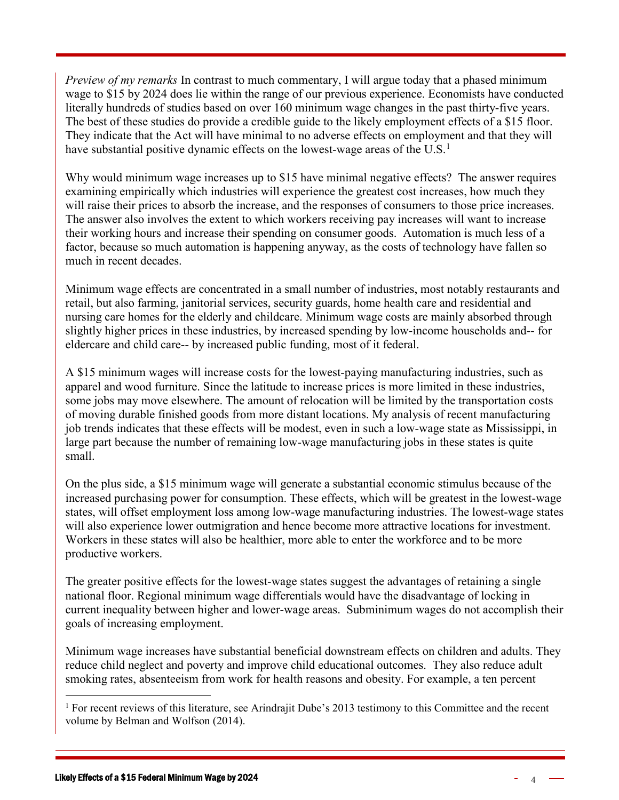*Preview of my remarks* In contrast to much commentary, I will argue today that a phased minimum wage to \$15 by 2024 does lie within the range of our previous experience. Economists have conducted literally hundreds of studies based on over 160 minimum wage changes in the past thirty-five years. The best of these studies do provide a credible guide to the likely employment effects of a \$15 floor. They indicate that the Act will have minimal to no adverse effects on employment and that they will have substantial positive dynamic effects on the lowest-wage areas of the  $U.S.<sup>1</sup>$  $U.S.<sup>1</sup>$  $U.S.<sup>1</sup>$ 

Why would minimum wage increases up to \$15 have minimal negative effects? The answer requires examining empirically which industries will experience the greatest cost increases, how much they will raise their prices to absorb the increase, and the responses of consumers to those price increases. The answer also involves the extent to which workers receiving pay increases will want to increase their working hours and increase their spending on consumer goods. Automation is much less of a factor, because so much automation is happening anyway, as the costs of technology have fallen so much in recent decades.

Minimum wage effects are concentrated in a small number of industries, most notably restaurants and retail, but also farming, janitorial services, security guards, home health care and residential and nursing care homes for the elderly and childcare. Minimum wage costs are mainly absorbed through slightly higher prices in these industries, by increased spending by low-income households and-- for eldercare and child care-- by increased public funding, most of it federal.

A \$15 minimum wages will increase costs for the lowest-paying manufacturing industries, such as apparel and wood furniture. Since the latitude to increase prices is more limited in these industries, some jobs may move elsewhere. The amount of relocation will be limited by the transportation costs of moving durable finished goods from more distant locations. My analysis of recent manufacturing job trends indicates that these effects will be modest, even in such a low-wage state as Mississippi, in large part because the number of remaining low-wage manufacturing jobs in these states is quite small.

On the plus side, a \$15 minimum wage will generate a substantial economic stimulus because of the increased purchasing power for consumption. These effects, which will be greatest in the lowest-wage states, will offset employment loss among low-wage manufacturing industries. The lowest-wage states will also experience lower outmigration and hence become more attractive locations for investment. Workers in these states will also be healthier, more able to enter the workforce and to be more productive workers.

The greater positive effects for the lowest-wage states suggest the advantages of retaining a single national floor. Regional minimum wage differentials would have the disadvantage of locking in current inequality between higher and lower-wage areas. Subminimum wages do not accomplish their goals of increasing employment.

Minimum wage increases have substantial beneficial downstream effects on children and adults. They reduce child neglect and poverty and improve child educational outcomes. They also reduce adult smoking rates, absenteeism from work for health reasons and obesity. For example, a ten percent

<span id="page-3-0"></span><sup>&</sup>lt;sup>1</sup> For recent reviews of this literature, see Arindrajit Dube's 2013 testimony to this Committee and the recent volume by Belman and Wolfson (2014).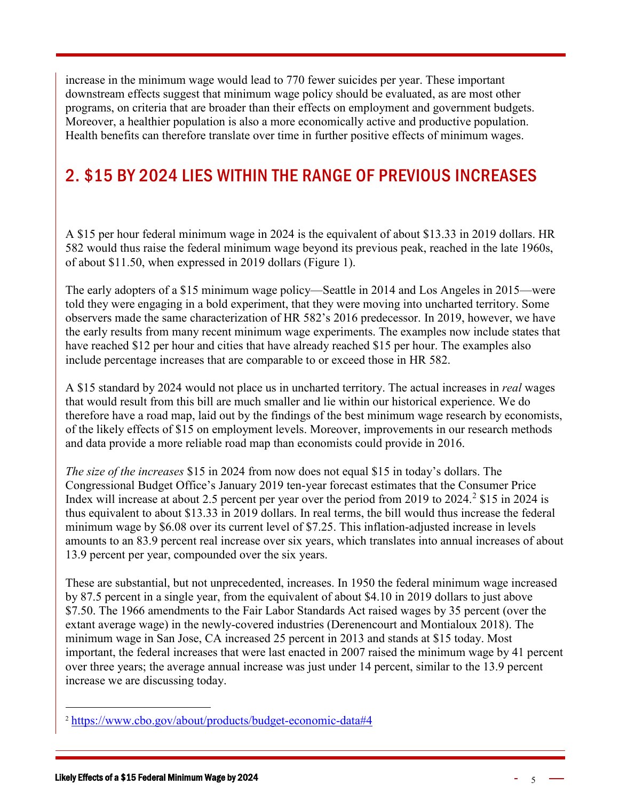increase in the minimum wage would lead to 770 fewer suicides per year. These important downstream effects suggest that minimum wage policy should be evaluated, as are most other programs, on criteria that are broader than their effects on employment and government budgets. Moreover, a healthier population is also a more economically active and productive population. Health benefits can therefore translate over time in further positive effects of minimum wages.

#### <span id="page-4-0"></span>2. \$15 BY 2024 LIES WITHIN THE RANGE OF PREVIOUS INCREASES

A \$15 per hour federal minimum wage in 2024 is the equivalent of about \$13.33 in 2019 dollars. HR 582 would thus raise the federal minimum wage beyond its previous peak, reached in the late 1960s, of about \$11.50, when expressed in 2019 dollars (Figure 1).

The early adopters of a \$15 minimum wage policy—Seattle in 2014 and Los Angeles in 2015—were told they were engaging in a bold experiment, that they were moving into uncharted territory. Some observers made the same characterization of HR 582's 2016 predecessor. In 2019, however, we have the early results from many recent minimum wage experiments. The examples now include states that have reached \$12 per hour and cities that have already reached \$15 per hour. The examples also include percentage increases that are comparable to or exceed those in HR 582.

A \$15 standard by 2024 would not place us in uncharted territory. The actual increases in *real* wages that would result from this bill are much smaller and lie within our historical experience. We do therefore have a road map, laid out by the findings of the best minimum wage research by economists, of the likely effects of \$15 on employment levels. Moreover, improvements in our research methods and data provide a more reliable road map than economists could provide in 2016.

*The size of the increases* \$15 in 2024 from now does not equal \$15 in today's dollars. The Congressional Budget Office's January 2019 ten-year forecast estimates that the Consumer Price Index will increase at about [2](#page-4-1).5 percent per year over the period from 2019 to 2024.<sup>2</sup> \$15 in 2024 is thus equivalent to about \$13.33 in 2019 dollars. In real terms, the bill would thus increase the federal minimum wage by \$6.08 over its current level of \$7.25. This inflation-adjusted increase in levels amounts to an 83.9 percent real increase over six years, which translates into annual increases of about 13.9 percent per year, compounded over the six years.

These are substantial, but not unprecedented, increases. In 1950 the federal minimum wage increased by 87.5 percent in a single year, from the equivalent of about \$4.10 in 2019 dollars to just above \$7.50. The 1966 amendments to the Fair Labor Standards Act raised wages by 35 percent (over the extant average wage) in the newly-covered industries (Derenencourt and Montialoux 2018). The minimum wage in San Jose, CA increased 25 percent in 2013 and stands at \$15 today. Most important, the federal increases that were last enacted in 2007 raised the minimum wage by 41 percent over three years; the average annual increase was just under 14 percent, similar to the 13.9 percent increase we are discussing today.

<span id="page-4-1"></span> <sup>2</sup> <https://www.cbo.gov/about/products/budget-economic-data#4>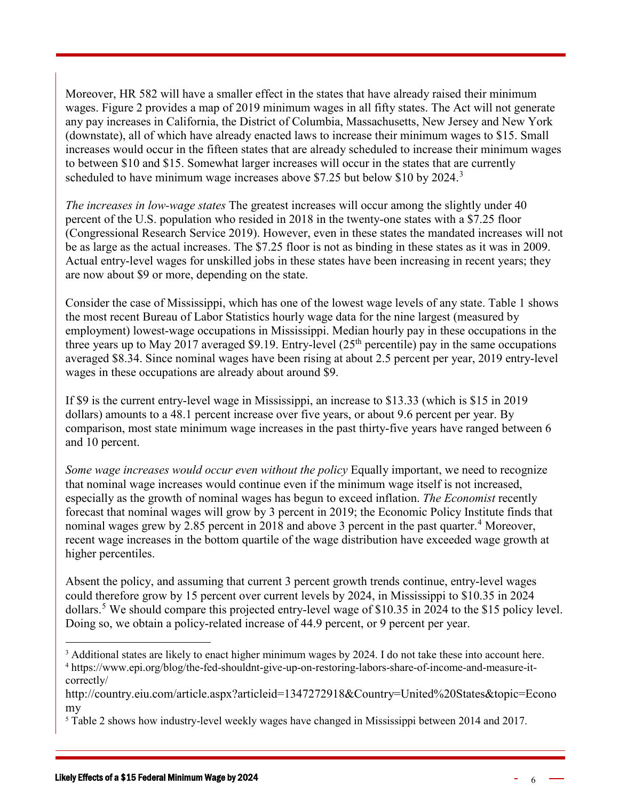Moreover, HR 582 will have a smaller effect in the states that have already raised their minimum wages. Figure 2 provides a map of 2019 minimum wages in all fifty states. The Act will not generate any pay increases in California, the District of Columbia, Massachusetts, New Jersey and New York (downstate), all of which have already enacted laws to increase their minimum wages to \$15. Small increases would occur in the fifteen states that are already scheduled to increase their minimum wages to between \$10 and \$15. Somewhat larger increases will occur in the states that are currently scheduled to have minimum wage increases above \$7.25 but below \$10 by 2024.<sup>[3](#page-5-0)</sup>

*The increases in low-wage states* The greatest increases will occur among the slightly under 40 percent of the U.S. population who resided in 2018 in the twenty-one states with a \$7.25 floor (Congressional Research Service 2019). However, even in these states the mandated increases will not be as large as the actual increases. The \$7.25 floor is not as binding in these states as it was in 2009. Actual entry-level wages for unskilled jobs in these states have been increasing in recent years; they are now about \$9 or more, depending on the state.

Consider the case of Mississippi, which has one of the lowest wage levels of any state. Table 1 shows the most recent Bureau of Labor Statistics hourly wage data for the nine largest (measured by employment) lowest-wage occupations in Mississippi. Median hourly pay in these occupations in the three years up to May 2017 averaged \$9.19. Entry-level  $(25<sup>th</sup>$  percentile) pay in the same occupations averaged \$8.34. Since nominal wages have been rising at about 2.5 percent per year, 2019 entry-level wages in these occupations are already about around \$9.

If \$9 is the current entry-level wage in Mississippi, an increase to \$13.33 (which is \$15 in 2019 dollars) amounts to a 48.1 percent increase over five years, or about 9.6 percent per year. By comparison, most state minimum wage increases in the past thirty-five years have ranged between 6 and 10 percent.

*Some wage increases would occur even without the policy* Equally important, we need to recognize that nominal wage increases would continue even if the minimum wage itself is not increased, especially as the growth of nominal wages has begun to exceed inflation. *The Economist* recently forecast that nominal wages will grow by 3 percent in 2019; the Economic Policy Institute finds that nominal wages grew by 2.85 percent in 2018 and above 3 percent in the past quarter.<sup>[4](#page-5-1)</sup> Moreover, recent wage increases in the bottom quartile of the wage distribution have exceeded wage growth at higher percentiles.

Absent the policy, and assuming that current 3 percent growth trends continue, entry-level wages could therefore grow by 15 percent over current levels by 2024, in Mississippi to \$10.35 in 2024 dollars.<sup>[5](#page-5-2)</sup> We should compare this projected entry-level wage of \$10.35 in 2024 to the \$15 policy level. Doing so, we obtain a policy-related increase of 44.9 percent, or 9 percent per year.

<span id="page-5-1"></span><span id="page-5-0"></span><sup>&</sup>lt;sup>3</sup> Additional states are likely to enact higher minimum wages by 2024. I do not take these into account here. <sup>4</sup> https://www.epi.org/blog/the-fed-shouldnt-give-up-on-restoring-labors-share-of-income-and-measure-itcorrectly/

http://country.eiu.com/article.aspx?articleid=1347272918&Country=United%20States&topic=Econo my

<span id="page-5-2"></span><sup>5</sup> Table 2 shows how industry-level weekly wages have changed in Mississippi between 2014 and 2017.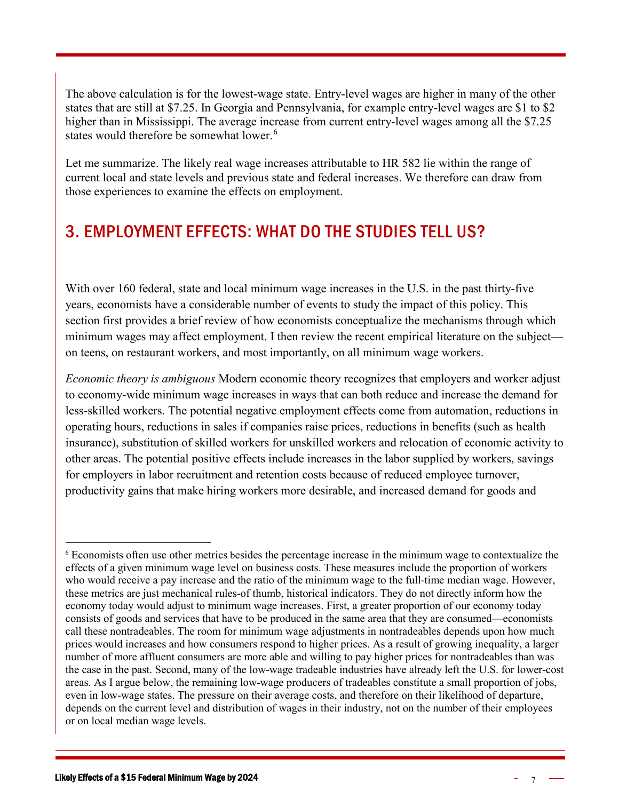The above calculation is for the lowest-wage state. Entry-level wages are higher in many of the other states that are still at \$7.25. In Georgia and Pennsylvania, for example entry-level wages are \$1 to \$2 higher than in Mississippi. The average increase from current entry-level wages among all the \$7.25 states would therefore be somewhat lower.<sup>[6](#page-6-1)</sup>

Let me summarize. The likely real wage increases attributable to HR 582 lie within the range of current local and state levels and previous state and federal increases. We therefore can draw from those experiences to examine the effects on employment.

#### <span id="page-6-0"></span>3. EMPLOYMENT EFFECTS: WHAT DO THE STUDIES TELL US?

With over 160 federal, state and local minimum wage increases in the U.S. in the past thirty-five years, economists have a considerable number of events to study the impact of this policy. This section first provides a brief review of how economists conceptualize the mechanisms through which minimum wages may affect employment. I then review the recent empirical literature on the subject on teens, on restaurant workers, and most importantly, on all minimum wage workers.

*Economic theory is ambiguous* Modern economic theory recognizes that employers and worker adjust to economy-wide minimum wage increases in ways that can both reduce and increase the demand for less-skilled workers. The potential negative employment effects come from automation, reductions in operating hours, reductions in sales if companies raise prices, reductions in benefits (such as health insurance), substitution of skilled workers for unskilled workers and relocation of economic activity to other areas. The potential positive effects include increases in the labor supplied by workers, savings for employers in labor recruitment and retention costs because of reduced employee turnover, productivity gains that make hiring workers more desirable, and increased demand for goods and

<span id="page-6-1"></span> <sup>6</sup> Economists often use other metrics besides the percentage increase in the minimum wage to contextualize the effects of a given minimum wage level on business costs. These measures include the proportion of workers who would receive a pay increase and the ratio of the minimum wage to the full-time median wage. However, these metrics are just mechanical rules-of thumb, historical indicators. They do not directly inform how the economy today would adjust to minimum wage increases. First, a greater proportion of our economy today consists of goods and services that have to be produced in the same area that they are consumed—economists call these nontradeables. The room for minimum wage adjustments in nontradeables depends upon how much prices would increases and how consumers respond to higher prices. As a result of growing inequality, a larger number of more affluent consumers are more able and willing to pay higher prices for nontradeables than was the case in the past. Second, many of the low-wage tradeable industries have already left the U.S. for lower-cost areas. As I argue below, the remaining low-wage producers of tradeables constitute a small proportion of jobs, even in low-wage states. The pressure on their average costs, and therefore on their likelihood of departure, depends on the current level and distribution of wages in their industry, not on the number of their employees or on local median wage levels.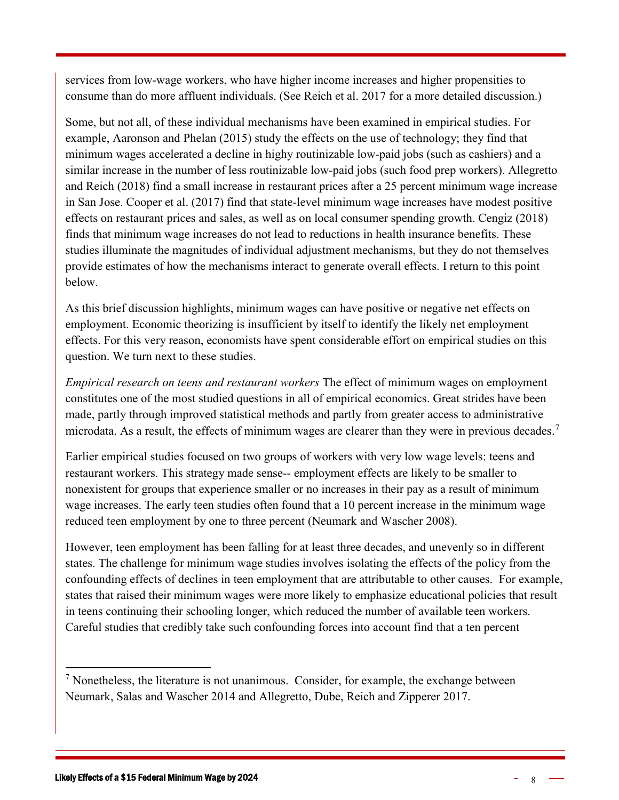services from low-wage workers, who have higher income increases and higher propensities to consume than do more affluent individuals. (See Reich et al. 2017 for a more detailed discussion.)

Some, but not all, of these individual mechanisms have been examined in empirical studies. For example, Aaronson and Phelan (2015) study the effects on the use of technology; they find that minimum wages accelerated a decline in highy routinizable low-paid jobs (such as cashiers) and a similar increase in the number of less routinizable low-paid jobs (such food prep workers). Allegretto and Reich (2018) find a small increase in restaurant prices after a 25 percent minimum wage increase in San Jose. Cooper et al. (2017) find that state-level minimum wage increases have modest positive effects on restaurant prices and sales, as well as on local consumer spending growth. Cengiz (2018) finds that minimum wage increases do not lead to reductions in health insurance benefits. These studies illuminate the magnitudes of individual adjustment mechanisms, but they do not themselves provide estimates of how the mechanisms interact to generate overall effects. I return to this point below.

As this brief discussion highlights, minimum wages can have positive or negative net effects on employment. Economic theorizing is insufficient by itself to identify the likely net employment effects. For this very reason, economists have spent considerable effort on empirical studies on this question. We turn next to these studies.

*Empirical research on teens and restaurant workers* The effect of minimum wages on employment constitutes one of the most studied questions in all of empirical economics. Great strides have been made, partly through improved statistical methods and partly from greater access to administrative microdata. As a result, the effects of minimum wages are clearer than they were in previous decades.<sup>[7](#page-7-0)</sup>

Earlier empirical studies focused on two groups of workers with very low wage levels: teens and restaurant workers. This strategy made sense-- employment effects are likely to be smaller to nonexistent for groups that experience smaller or no increases in their pay as a result of minimum wage increases. The early teen studies often found that a 10 percent increase in the minimum wage reduced teen employment by one to three percent (Neumark and Wascher 2008).

However, teen employment has been falling for at least three decades, and unevenly so in different states. The challenge for minimum wage studies involves isolating the effects of the policy from the confounding effects of declines in teen employment that are attributable to other causes. For example, states that raised their minimum wages were more likely to emphasize educational policies that result in teens continuing their schooling longer, which reduced the number of available teen workers. Careful studies that credibly take such confounding forces into account find that a ten percent

<span id="page-7-0"></span> $<sup>7</sup>$  Nonetheless, the literature is not unanimous. Consider, for example, the exchange between</sup> Neumark, Salas and Wascher 2014 and Allegretto, Dube, Reich and Zipperer 2017.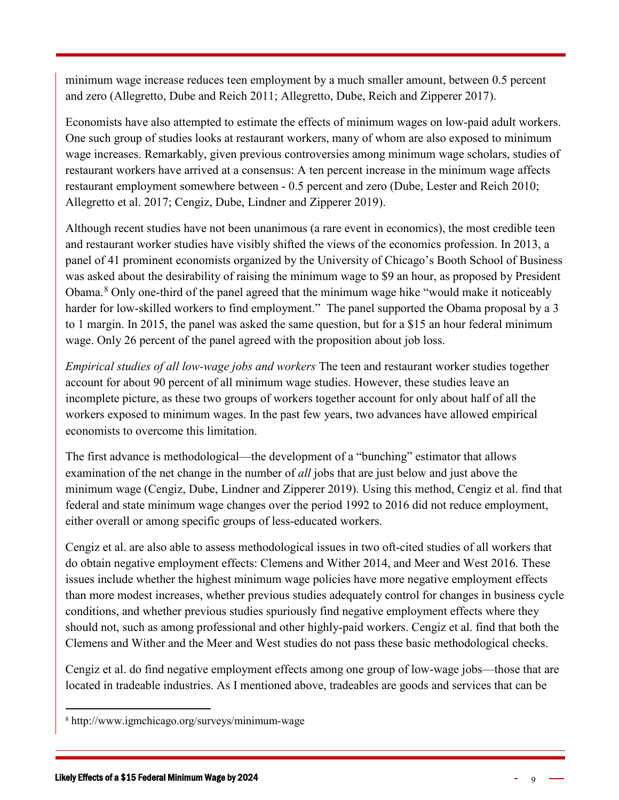minimum wage increase reduces teen employment by a much smaller amount, between 0.5 percent and zero (Allegretto, Dube and Reich 2011; Allegretto, Dube, Reich and Zipperer 2017).

Economists have also attempted to estimate the effects of minimum wages on low-paid adult workers. One such group of studies looks at restaurant workers, many of whom are also exposed to minimum wage increases. Remarkably, given previous controversies among minimum wage scholars, studies of restaurant workers have arrived at a consensus: A ten percent increase in the minimum wage affects restaurant employment somewhere between - 0.5 percent and zero (Dube, Lester and Reich 2010; Allegretto et al. 2017; Cengiz, Dube, Lindner and Zipperer 2019).

Although recent studies have not been unanimous (a rare event in economics), the most credible teen and restaurant worker studies have visibly shifted the views of the economics profession. In 2013, a panel of 41 prominent economists organized by the University of Chicago's Booth School of Business was asked about the desirability of raising the minimum wage to \$9 an hour, as proposed by President Obama.[8](#page-8-0) Only one-third of the panel agreed that the minimum wage hike "would make it noticeably harder for low-skilled workers to find employment." The panel supported the Obama proposal by a 3 to 1 margin. In 2015, the panel was asked the same question, but for a \$15 an hour federal minimum wage. Only 26 percent of the panel agreed with the proposition about job loss.

*Empirical studies of all low-wage jobs and workers* The teen and restaurant worker studies together account for about 90 percent of all minimum wage studies. However, these studies leave an incomplete picture, as these two groups of workers together account for only about half of all the workers exposed to minimum wages. In the past few years, two advances have allowed empirical economists to overcome this limitation.

The first advance is methodological—the development of a "bunching" estimator that allows examination of the net change in the number of *all* jobs that are just below and just above the minimum wage (Cengiz, Dube, Lindner and Zipperer 2019). Using this method, Cengiz et al. find that federal and state minimum wage changes over the period 1992 to 2016 did not reduce employment, either overall or among specific groups of less-educated workers.

Cengiz et al. are also able to assess methodological issues in two oft-cited studies of all workers that do obtain negative employment effects: Clemens and Wither 2014, and Meer and West 2016. These issues include whether the highest minimum wage policies have more negative employment effects than more modest increases, whether previous studies adequately control for changes in business cycle conditions, and whether previous studies spuriously find negative employment effects where they should not, such as among professional and other highly-paid workers. Cengiz et al. find that both the Clemens and Wither and the Meer and West studies do not pass these basic methodological checks.

Cengiz et al. do find negative employment effects among one group of low-wage jobs—those that are located in tradeable industries. As I mentioned above, tradeables are goods and services that can be

<span id="page-8-0"></span> <sup>8</sup> http://www.igmchicago.org/surveys/minimum-wage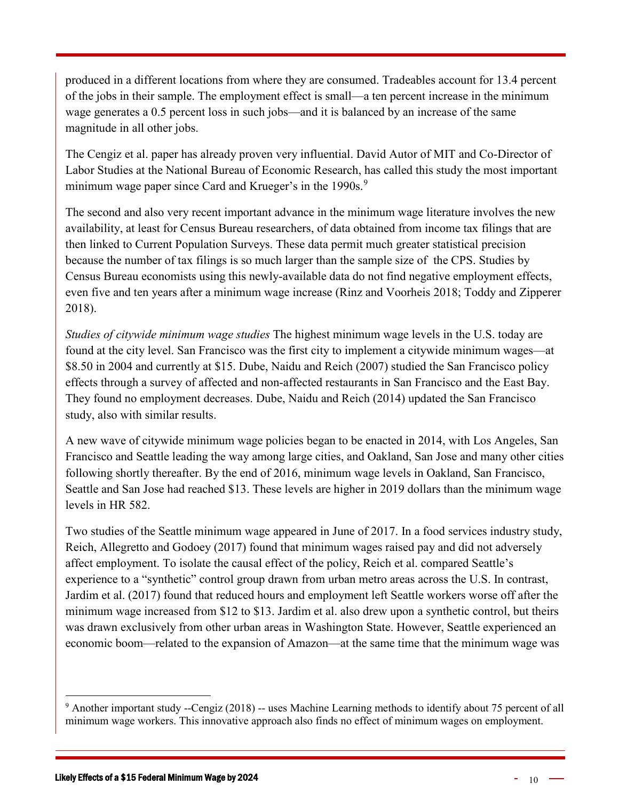produced in a different locations from where they are consumed. Tradeables account for 13.4 percent of the jobs in their sample. The employment effect is small—a ten percent increase in the minimum wage generates a 0.5 percent loss in such jobs—and it is balanced by an increase of the same magnitude in all other jobs.

The Cengiz et al. paper has already proven very influential. David Autor of MIT and Co-Director of Labor Studies at the National Bureau of Economic Research, has called this study the most important minimum wage paper since Card and Krueger's in the 1[9](#page-9-0)90s.<sup>9</sup>

The second and also very recent important advance in the minimum wage literature involves the new availability, at least for Census Bureau researchers, of data obtained from income tax filings that are then linked to Current Population Surveys. These data permit much greater statistical precision because the number of tax filings is so much larger than the sample size of the CPS. Studies by Census Bureau economists using this newly-available data do not find negative employment effects, even five and ten years after a minimum wage increase (Rinz and Voorheis 2018; Toddy and Zipperer 2018).

*Studies of citywide minimum wage studies* The highest minimum wage levels in the U.S. today are found at the city level. San Francisco was the first city to implement a citywide minimum wages—at \$8.50 in 2004 and currently at \$15. Dube, Naidu and Reich (2007) studied the San Francisco policy effects through a survey of affected and non-affected restaurants in San Francisco and the East Bay. They found no employment decreases. Dube, Naidu and Reich (2014) updated the San Francisco study, also with similar results.

A new wave of citywide minimum wage policies began to be enacted in 2014, with Los Angeles, San Francisco and Seattle leading the way among large cities, and Oakland, San Jose and many other cities following shortly thereafter. By the end of 2016, minimum wage levels in Oakland, San Francisco, Seattle and San Jose had reached \$13. These levels are higher in 2019 dollars than the minimum wage levels in HR 582.

Two studies of the Seattle minimum wage appeared in June of 2017. In a food services industry study, Reich, Allegretto and Godoey (2017) found that minimum wages raised pay and did not adversely affect employment. To isolate the causal effect of the policy, Reich et al. compared Seattle's experience to a "synthetic" control group drawn from urban metro areas across the U.S. In contrast, Jardim et al. (2017) found that reduced hours and employment left Seattle workers worse off after the minimum wage increased from \$12 to \$13. Jardim et al. also drew upon a synthetic control, but theirs was drawn exclusively from other urban areas in Washington State. However, Seattle experienced an economic boom—related to the expansion of Amazon—at the same time that the minimum wage was

<span id="page-9-0"></span><sup>&</sup>lt;sup>9</sup> Another important study --Cengiz (2018) -- uses Machine Learning methods to identify about 75 percent of all minimum wage workers. This innovative approach also finds no effect of minimum wages on employment.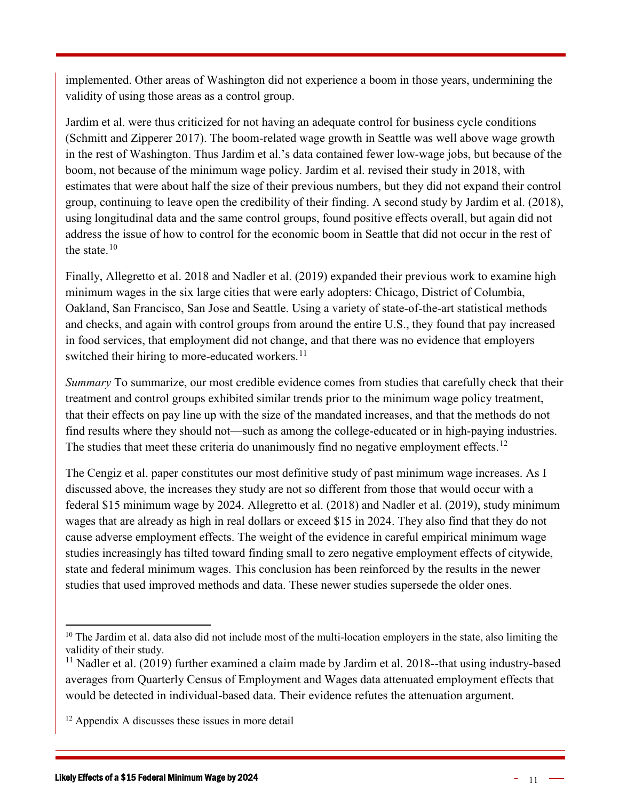implemented. Other areas of Washington did not experience a boom in those years, undermining the validity of using those areas as a control group.

Jardim et al. were thus criticized for not having an adequate control for business cycle conditions (Schmitt and Zipperer 2017). The boom-related wage growth in Seattle was well above wage growth in the rest of Washington. Thus Jardim et al.'s data contained fewer low-wage jobs, but because of the boom, not because of the minimum wage policy. Jardim et al. revised their study in 2018, with estimates that were about half the size of their previous numbers, but they did not expand their control group, continuing to leave open the credibility of their finding. A second study by Jardim et al. (2018), using longitudinal data and the same control groups, found positive effects overall, but again did not address the issue of how to control for the economic boom in Seattle that did not occur in the rest of the state. $10$ 

Finally, Allegretto et al. 2018 and Nadler et al. (2019) expanded their previous work to examine high minimum wages in the six large cities that were early adopters: Chicago, District of Columbia, Oakland, San Francisco, San Jose and Seattle. Using a variety of state-of-the-art statistical methods and checks, and again with control groups from around the entire U.S., they found that pay increased in food services, that employment did not change, and that there was no evidence that employers switched their hiring to more-educated workers. $^{11}$  $^{11}$  $^{11}$ 

*Summary* To summarize, our most credible evidence comes from studies that carefully check that their treatment and control groups exhibited similar trends prior to the minimum wage policy treatment, that their effects on pay line up with the size of the mandated increases, and that the methods do not find results where they should not—such as among the college-educated or in high-paying industries. The studies that meet these criteria do unanimously find no negative employment effects.<sup>[12](#page-10-2)</sup>

The Cengiz et al. paper constitutes our most definitive study of past minimum wage increases. As I discussed above, the increases they study are not so different from those that would occur with a federal \$15 minimum wage by 2024. Allegretto et al. (2018) and Nadler et al. (2019), study minimum wages that are already as high in real dollars or exceed \$15 in 2024. They also find that they do not cause adverse employment effects. The weight of the evidence in careful empirical minimum wage studies increasingly has tilted toward finding small to zero negative employment effects of citywide, state and federal minimum wages. This conclusion has been reinforced by the results in the newer studies that used improved methods and data. These newer studies supersede the older ones.

<span id="page-10-0"></span><sup>&</sup>lt;sup>10</sup> The Jardim et al. data also did not include most of the multi-location employers in the state, also limiting the validity of their study.

<span id="page-10-1"></span> $11$  Nadler et al. (2019) further examined a claim made by Jardim et al. 2018--that using industry-based averages from Quarterly Census of Employment and Wages data attenuated employment effects that would be detected in individual-based data. Their evidence refutes the attenuation argument.

<span id="page-10-2"></span><sup>&</sup>lt;sup>12</sup> Appendix A discusses these issues in more detail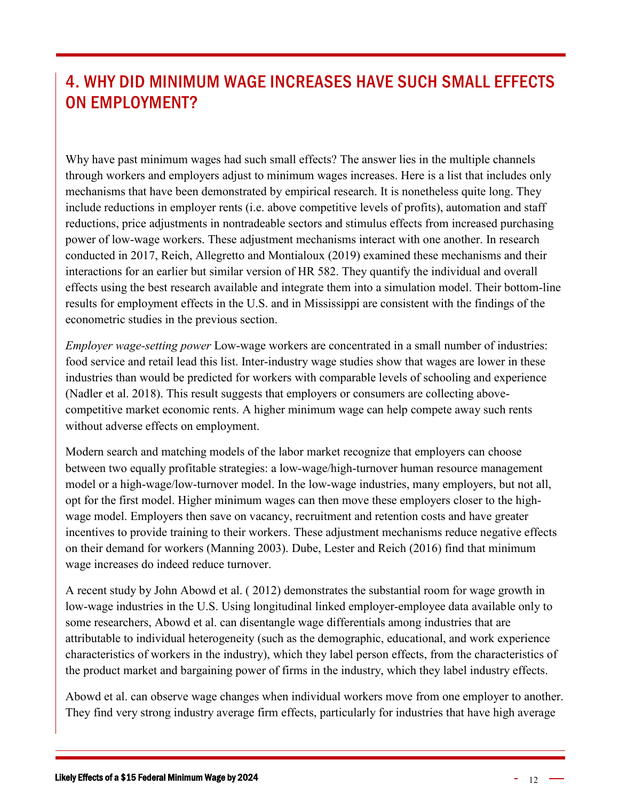## <span id="page-11-0"></span>4. WHY DID MINIMUM WAGE INCREASES HAVE SUCH SMALL EFFECTS ON EMPLOYMENT?

Why have past minimum wages had such small effects? The answer lies in the multiple channels through workers and employers adjust to minimum wages increases. Here is a list that includes only mechanisms that have been demonstrated by empirical research. It is nonetheless quite long. They include reductions in employer rents (i.e. above competitive levels of profits), automation and staff reductions, price adjustments in nontradeable sectors and stimulus effects from increased purchasing power of low-wage workers. These adjustment mechanisms interact with one another. In research conducted in 2017, Reich, Allegretto and Montialoux (2019) examined these mechanisms and their interactions for an earlier but similar version of HR 582. They quantify the individual and overall effects using the best research available and integrate them into a simulation model. Their bottom-line results for employment effects in the U.S. and in Mississippi are consistent with the findings of the econometric studies in the previous section.

*Employer wage-setting power* Low-wage workers are concentrated in a small number of industries: food service and retail lead this list. Inter-industry wage studies show that wages are lower in these industries than would be predicted for workers with comparable levels of schooling and experience (Nadler et al. 2018). This result suggests that employers or consumers are collecting abovecompetitive market economic rents. A higher minimum wage can help compete away such rents without adverse effects on employment.

Modern search and matching models of the labor market recognize that employers can choose between two equally profitable strategies: a low-wage/high-turnover human resource management model or a high-wage/low-turnover model. In the low-wage industries, many employers, but not all, opt for the first model. Higher minimum wages can then move these employers closer to the highwage model. Employers then save on vacancy, recruitment and retention costs and have greater incentives to provide training to their workers. These adjustment mechanisms reduce negative effects on their demand for workers (Manning 2003). Dube, Lester and Reich (2016) find that minimum wage increases do indeed reduce turnover.

A recent study by John Abowd et al. ( 2012) demonstrates the substantial room for wage growth in low-wage industries in the U.S. Using longitudinal linked employer-employee data available only to some researchers, Abowd et al. can disentangle wage differentials among industries that are attributable to individual heterogeneity (such as the demographic, educational, and work experience characteristics of workers in the industry), which they label person effects, from the characteristics of the product market and bargaining power of firms in the industry, which they label industry effects.

Abowd et al. can observe wage changes when individual workers move from one employer to another. They find very strong industry average firm effects, particularly for industries that have high average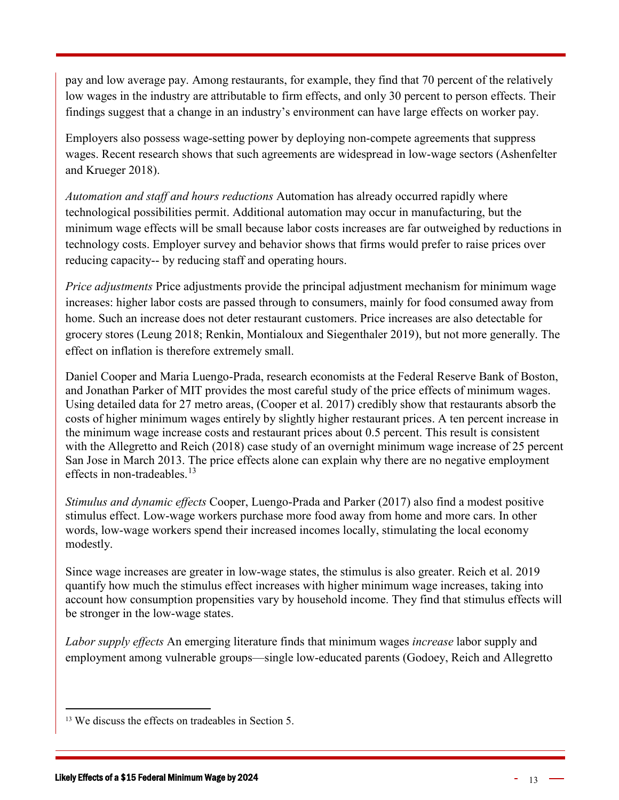pay and low average pay. Among restaurants, for example, they find that 70 percent of the relatively low wages in the industry are attributable to firm effects, and only 30 percent to person effects. Their findings suggest that a change in an industry's environment can have large effects on worker pay.

Employers also possess wage-setting power by deploying non-compete agreements that suppress wages. Recent research shows that such agreements are widespread in low-wage sectors (Ashenfelter and Krueger 2018).

*Automation and staff and hours reductions* Automation has already occurred rapidly where technological possibilities permit. Additional automation may occur in manufacturing, but the minimum wage effects will be small because labor costs increases are far outweighed by reductions in technology costs. Employer survey and behavior shows that firms would prefer to raise prices over reducing capacity-- by reducing staff and operating hours.

*Price adjustments* Price adjustments provide the principal adjustment mechanism for minimum wage increases: higher labor costs are passed through to consumers, mainly for food consumed away from home. Such an increase does not deter restaurant customers. Price increases are also detectable for grocery stores (Leung 2018; Renkin, Montialoux and Siegenthaler 2019), but not more generally. The effect on inflation is therefore extremely small.

Daniel Cooper and Maria Luengo-Prada, research economists at the Federal Reserve Bank of Boston, and Jonathan Parker of MIT provides the most careful study of the price effects of minimum wages. Using detailed data for 27 metro areas, (Cooper et al. 2017) credibly show that restaurants absorb the costs of higher minimum wages entirely by slightly higher restaurant prices. A ten percent increase in the minimum wage increase costs and restaurant prices about 0.5 percent. This result is consistent with the Allegretto and Reich (2018) case study of an overnight minimum wage increase of 25 percent San Jose in March 2013. The price effects alone can explain why there are no negative employment effects in non-tradeables.<sup>[13](#page-12-0)</sup>

*Stimulus and dynamic effects* Cooper, Luengo-Prada and Parker (2017) also find a modest positive stimulus effect. Low-wage workers purchase more food away from home and more cars. In other words, low-wage workers spend their increased incomes locally, stimulating the local economy modestly.

Since wage increases are greater in low-wage states, the stimulus is also greater. Reich et al. 2019 quantify how much the stimulus effect increases with higher minimum wage increases, taking into account how consumption propensities vary by household income. They find that stimulus effects will be stronger in the low-wage states.

*Labor supply effects* An emerging literature finds that minimum wages *increase* labor supply and employment among vulnerable groups—single low-educated parents (Godoey, Reich and Allegretto

<span id="page-12-0"></span><sup>&</sup>lt;sup>13</sup> We discuss the effects on tradeables in Section 5.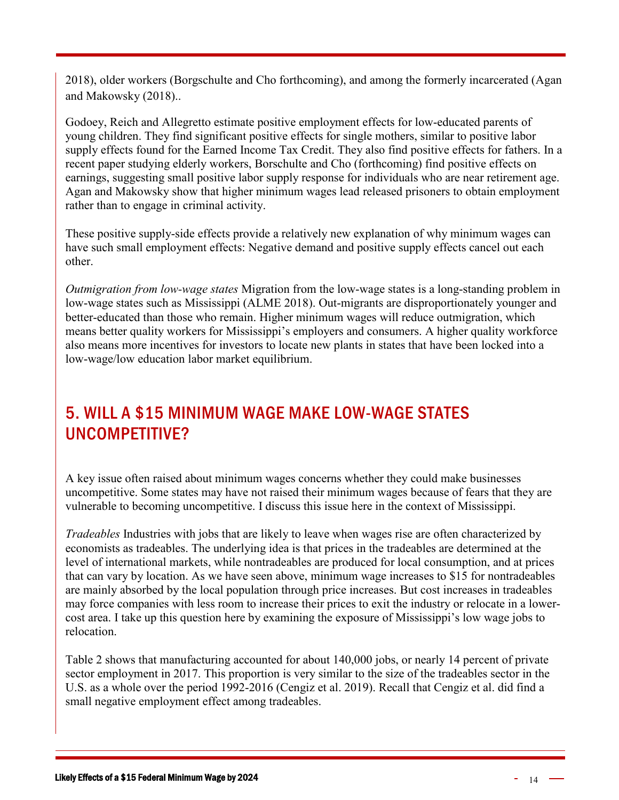2018), older workers (Borgschulte and Cho forthcoming), and among the formerly incarcerated (Agan and Makowsky (2018)..

Godoey, Reich and Allegretto estimate positive employment effects for low-educated parents of young children. They find significant positive effects for single mothers, similar to positive labor supply effects found for the Earned Income Tax Credit. They also find positive effects for fathers. In a recent paper studying elderly workers, Borschulte and Cho (forthcoming) find positive effects on earnings, suggesting small positive labor supply response for individuals who are near retirement age. Agan and Makowsky show that higher minimum wages lead released prisoners to obtain employment rather than to engage in criminal activity.

These positive supply-side effects provide a relatively new explanation of why minimum wages can have such small employment effects: Negative demand and positive supply effects cancel out each other.

*Outmigration from low-wage states* Migration from the low-wage states is a long-standing problem in low-wage states such as Mississippi (ALME 2018). Out-migrants are disproportionately younger and better-educated than those who remain. Higher minimum wages will reduce outmigration, which means better quality workers for Mississippi's employers and consumers. A higher quality workforce also means more incentives for investors to locate new plants in states that have been locked into a low-wage/low education labor market equilibrium.

#### <span id="page-13-0"></span>5. WILL A \$15 MINIMUM WAGE MAKE LOW-WAGE STATES UNCOMPETITIVE?

A key issue often raised about minimum wages concerns whether they could make businesses uncompetitive. Some states may have not raised their minimum wages because of fears that they are vulnerable to becoming uncompetitive. I discuss this issue here in the context of Mississippi.

*Tradeables* Industries with jobs that are likely to leave when wages rise are often characterized by economists as tradeables. The underlying idea is that prices in the tradeables are determined at the level of international markets, while nontradeables are produced for local consumption, and at prices that can vary by location. As we have seen above, minimum wage increases to \$15 for nontradeables are mainly absorbed by the local population through price increases. But cost increases in tradeables may force companies with less room to increase their prices to exit the industry or relocate in a lowercost area. I take up this question here by examining the exposure of Mississippi's low wage jobs to relocation.

Table 2 shows that manufacturing accounted for about 140,000 jobs, or nearly 14 percent of private sector employment in 2017. This proportion is very similar to the size of the tradeables sector in the U.S. as a whole over the period 1992-2016 (Cengiz et al. 2019). Recall that Cengiz et al. did find a small negative employment effect among tradeables.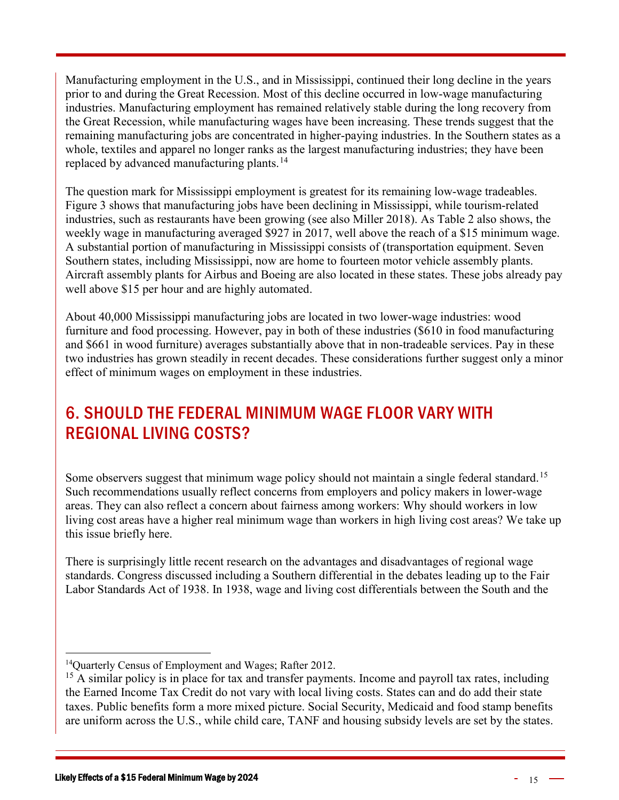Manufacturing employment in the U.S., and in Mississippi, continued their long decline in the years prior to and during the Great Recession. Most of this decline occurred in low-wage manufacturing industries. Manufacturing employment has remained relatively stable during the long recovery from the Great Recession, while manufacturing wages have been increasing. These trends suggest that the remaining manufacturing jobs are concentrated in higher-paying industries. In the Southern states as a whole, textiles and apparel no longer ranks as the largest manufacturing industries; they have been replaced by advanced manufacturing plants.<sup>[14](#page-14-1)</sup>

The question mark for Mississippi employment is greatest for its remaining low-wage tradeables. Figure 3 shows that manufacturing jobs have been declining in Mississippi, while tourism-related industries, such as restaurants have been growing (see also Miller 2018). As Table 2 also shows, the weekly wage in manufacturing averaged \$927 in 2017, well above the reach of a \$15 minimum wage. A substantial portion of manufacturing in Mississippi consists of (transportation equipment. Seven Southern states, including Mississippi, now are home to fourteen motor vehicle assembly plants. Aircraft assembly plants for Airbus and Boeing are also located in these states. These jobs already pay well above \$15 per hour and are highly automated.

About 40,000 Mississippi manufacturing jobs are located in two lower-wage industries: wood furniture and food processing. However, pay in both of these industries (\$610 in food manufacturing and \$661 in wood furniture) averages substantially above that in non-tradeable services. Pay in these two industries has grown steadily in recent decades. These considerations further suggest only a minor effect of minimum wages on employment in these industries.

# <span id="page-14-0"></span>6. SHOULD THE FEDERAL MINIMUM WAGE FLOOR VARY WITH REGIONAL LIVING COSTS?

Some observers suggest that minimum wage policy should not maintain a single federal standard.<sup>[15](#page-14-2)</sup> Such recommendations usually reflect concerns from employers and policy makers in lower-wage areas. They can also reflect a concern about fairness among workers: Why should workers in low living cost areas have a higher real minimum wage than workers in high living cost areas? We take up this issue briefly here.

There is surprisingly little recent research on the advantages and disadvantages of regional wage standards. Congress discussed including a Southern differential in the debates leading up to the Fair Labor Standards Act of 1938. In 1938, wage and living cost differentials between the South and the

<span id="page-14-1"></span><sup>&</sup>lt;sup>14</sup>Quarterly Census of Employment and Wages; Rafter 2012.

<span id="page-14-2"></span><sup>&</sup>lt;sup>15</sup> A similar policy is in place for tax and transfer payments. Income and payroll tax rates, including the Earned Income Tax Credit do not vary with local living costs. States can and do add their state taxes. Public benefits form a more mixed picture. Social Security, Medicaid and food stamp benefits are uniform across the U.S., while child care, TANF and housing subsidy levels are set by the states.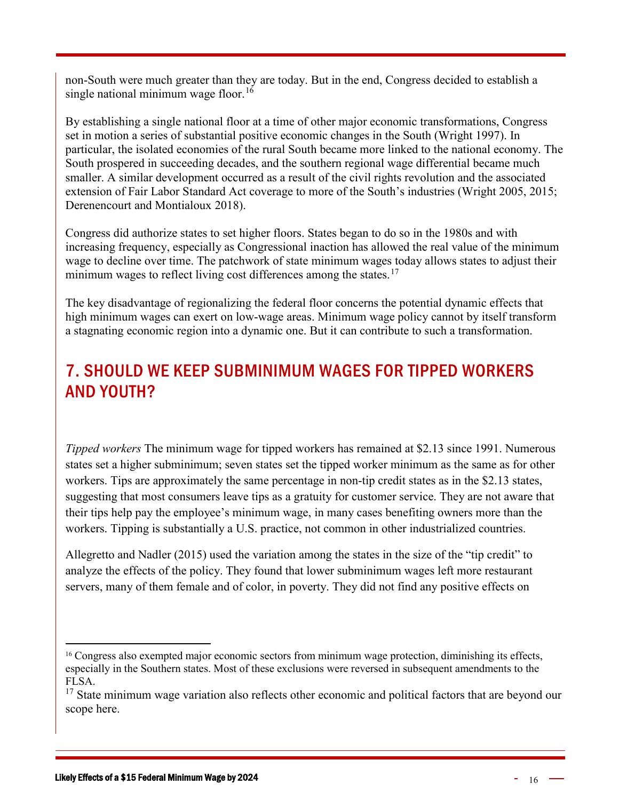non-South were much greater than they are today. But in the end, Congress decided to establish a single national minimum wage floor.<sup>[16](#page-15-1)</sup>

By establishing a single national floor at a time of other major economic transformations, Congress set in motion a series of substantial positive economic changes in the South (Wright 1997). In particular, the isolated economies of the rural South became more linked to the national economy. The South prospered in succeeding decades, and the southern regional wage differential became much smaller. A similar development occurred as a result of the civil rights revolution and the associated extension of Fair Labor Standard Act coverage to more of the South's industries (Wright 2005, 2015; Derenencourt and Montialoux 2018).

Congress did authorize states to set higher floors. States began to do so in the 1980s and with increasing frequency, especially as Congressional inaction has allowed the real value of the minimum wage to decline over time. The patchwork of state minimum wages today allows states to adjust their minimum wages to reflect living cost differences among the states.<sup>[17](#page-15-2)</sup>

The key disadvantage of regionalizing the federal floor concerns the potential dynamic effects that high minimum wages can exert on low-wage areas. Minimum wage policy cannot by itself transform a stagnating economic region into a dynamic one. But it can contribute to such a transformation.

# <span id="page-15-0"></span>7. SHOULD WE KEEP SUBMINIMUM WAGES FOR TIPPED WORKERS AND YOUTH?

*Tipped workers* The minimum wage for tipped workers has remained at \$2.13 since 1991. Numerous states set a higher subminimum; seven states set the tipped worker minimum as the same as for other workers. Tips are approximately the same percentage in non-tip credit states as in the \$2.13 states, suggesting that most consumers leave tips as a gratuity for customer service. They are not aware that their tips help pay the employee's minimum wage, in many cases benefiting owners more than the workers. Tipping is substantially a U.S. practice, not common in other industrialized countries.

Allegretto and Nadler (2015) used the variation among the states in the size of the "tip credit" to analyze the effects of the policy. They found that lower subminimum wages left more restaurant servers, many of them female and of color, in poverty. They did not find any positive effects on

<span id="page-15-1"></span><sup>&</sup>lt;sup>16</sup> Congress also exempted major economic sectors from minimum wage protection, diminishing its effects, especially in the Southern states. Most of these exclusions were reversed in subsequent amendments to the FLSA.

<span id="page-15-2"></span> $17$  State minimum wage variation also reflects other economic and political factors that are beyond our scope here.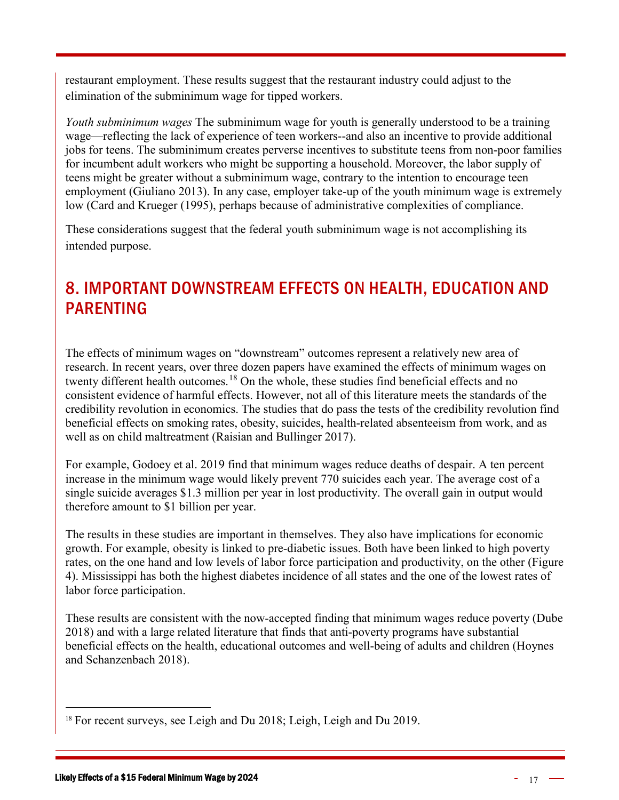restaurant employment. These results suggest that the restaurant industry could adjust to the elimination of the subminimum wage for tipped workers.

*Youth subminimum wages* The subminimum wage for youth is generally understood to be a training wage—reflecting the lack of experience of teen workers--and also an incentive to provide additional jobs for teens. The subminimum creates perverse incentives to substitute teens from non-poor families for incumbent adult workers who might be supporting a household. Moreover, the labor supply of teens might be greater without a subminimum wage, contrary to the intention to encourage teen employment (Giuliano 2013). In any case, employer take-up of the youth minimum wage is extremely low (Card and Krueger (1995), perhaps because of administrative complexities of compliance.

These considerations suggest that the federal youth subminimum wage is not accomplishing its intended purpose.

# <span id="page-16-0"></span>8. IMPORTANT DOWNSTREAM EFFECTS ON HEALTH, EDUCATION AND PARENTING

The effects of minimum wages on "downstream" outcomes represent a relatively new area of research. In recent years, over three dozen papers have examined the effects of minimum wages on twenty different health outcomes.<sup>[18](#page-16-1)</sup> On the whole, these studies find beneficial effects and no consistent evidence of harmful effects. However, not all of this literature meets the standards of the credibility revolution in economics. The studies that do pass the tests of the credibility revolution find beneficial effects on smoking rates, obesity, suicides, health-related absenteeism from work, and as well as on child maltreatment (Raisian and Bullinger 2017).

For example, Godoey et al. 2019 find that minimum wages reduce deaths of despair. A ten percent increase in the minimum wage would likely prevent 770 suicides each year. The average cost of a single suicide averages \$1.3 million per year in lost productivity. The overall gain in output would therefore amount to \$1 billion per year.

The results in these studies are important in themselves. They also have implications for economic growth. For example, obesity is linked to pre-diabetic issues. Both have been linked to high poverty rates, on the one hand and low levels of labor force participation and productivity, on the other (Figure 4). Mississippi has both the highest diabetes incidence of all states and the one of the lowest rates of labor force participation.

These results are consistent with the now-accepted finding that minimum wages reduce poverty (Dube 2018) and with a large related literature that finds that anti-poverty programs have substantial beneficial effects on the health, educational outcomes and well-being of adults and children (Hoynes and Schanzenbach 2018).

<span id="page-16-1"></span><sup>&</sup>lt;sup>18</sup> For recent surveys, see Leigh and Du 2018; Leigh, Leigh and Du 2019.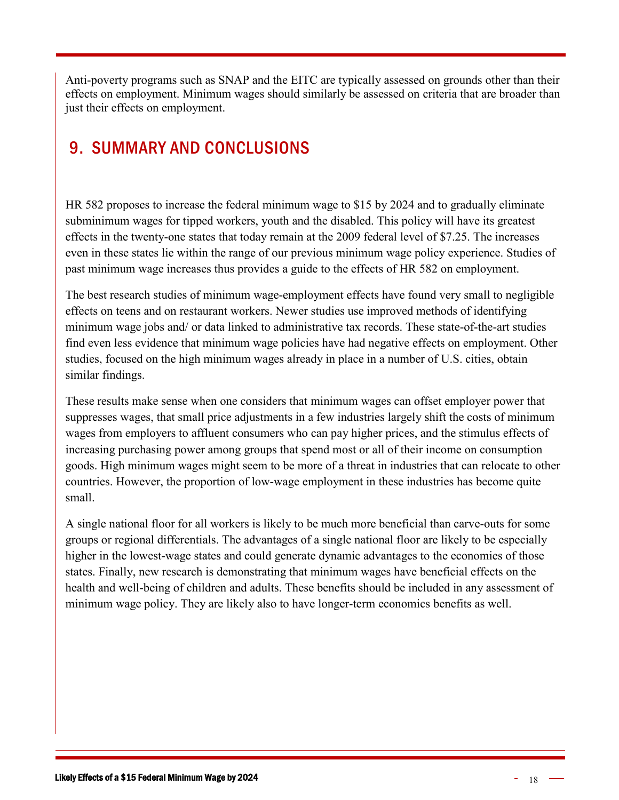Anti-poverty programs such as SNAP and the EITC are typically assessed on grounds other than their effects on employment. Minimum wages should similarly be assessed on criteria that are broader than just their effects on employment.

# <span id="page-17-0"></span>9. SUMMARY AND CONCLUSIONS

HR 582 proposes to increase the federal minimum wage to \$15 by 2024 and to gradually eliminate subminimum wages for tipped workers, youth and the disabled. This policy will have its greatest effects in the twenty-one states that today remain at the 2009 federal level of \$7.25. The increases even in these states lie within the range of our previous minimum wage policy experience. Studies of past minimum wage increases thus provides a guide to the effects of HR 582 on employment.

The best research studies of minimum wage-employment effects have found very small to negligible effects on teens and on restaurant workers. Newer studies use improved methods of identifying minimum wage jobs and/ or data linked to administrative tax records. These state-of-the-art studies find even less evidence that minimum wage policies have had negative effects on employment. Other studies, focused on the high minimum wages already in place in a number of U.S. cities, obtain similar findings.

These results make sense when one considers that minimum wages can offset employer power that suppresses wages, that small price adjustments in a few industries largely shift the costs of minimum wages from employers to affluent consumers who can pay higher prices, and the stimulus effects of increasing purchasing power among groups that spend most or all of their income on consumption goods. High minimum wages might seem to be more of a threat in industries that can relocate to other countries. However, the proportion of low-wage employment in these industries has become quite small.

A single national floor for all workers is likely to be much more beneficial than carve-outs for some groups or regional differentials. The advantages of a single national floor are likely to be especially higher in the lowest-wage states and could generate dynamic advantages to the economies of those states. Finally, new research is demonstrating that minimum wages have beneficial effects on the health and well-being of children and adults. These benefits should be included in any assessment of minimum wage policy. They are likely also to have longer-term economics benefits as well.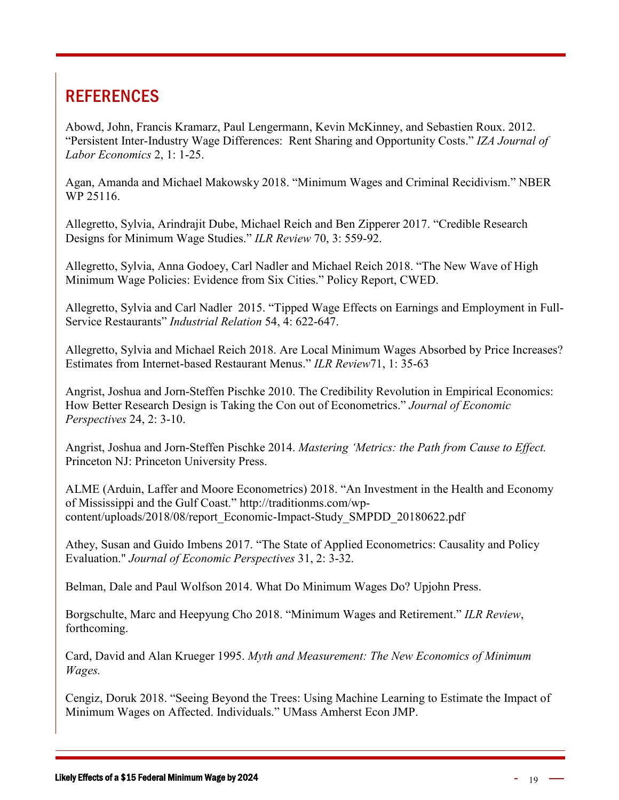# <span id="page-18-0"></span>**REFERENCES**

Abowd, John, Francis Kramarz, Paul Lengermann, Kevin McKinney, and Sebastien Roux. 2012. "Persistent Inter-Industry Wage Differences: Rent Sharing and Opportunity Costs." *IZA Journal of Labor Economics* 2, 1: 1-25.

Agan, Amanda and Michael Makowsky 2018. "Minimum Wages and Criminal Recidivism." NBER WP 25116.

Allegretto, Sylvia, Arindrajit Dube, Michael Reich and Ben Zipperer 2017. "Credible Research Designs for Minimum Wage Studies." *ILR Review* 70, 3: 559-92.

Allegretto, Sylvia, Anna Godoey, Carl Nadler and Michael Reich 2018. "The New Wave of High Minimum Wage Policies: Evidence from Six Cities." Policy Report, CWED.

Allegretto, Sylvia and Carl Nadler 2015. "Tipped Wage Effects on Earnings and Employment in Full-Service Restaurants" *Industrial Relation* 54, 4: 622-647.

Allegretto, Sylvia and Michael Reich 2018. Are Local Minimum Wages Absorbed by Price Increases? Estimates from Internet-based Restaurant Menus." *ILR Review*71, 1: 35-63

Angrist, Joshua and Jorn-Steffen Pischke 2010. The Credibility Revolution in Empirical Economics: How Better Research Design is Taking the Con out of Econometrics." *Journal of Economic Perspectives* 24, 2: 3-10.

Angrist, Joshua and Jorn-Steffen Pischke 2014. *Mastering 'Metrics: the Path from Cause to Effect.* Princeton NJ: Princeton University Press.

ALME (Arduin, Laffer and Moore Econometrics) 2018. "An Investment in the Health and Economy of Mississippi and the Gulf Coast." http://traditionms.com/wpcontent/uploads/2018/08/report\_Economic-Impact-Study\_SMPDD\_20180622.pdf

Athey, Susan and Guido Imbens 2017. "The State of Applied Econometrics: Causality and Policy Evaluation." *Journal of Economic Perspectives* 31, 2: 3-32.

Belman, Dale and Paul Wolfson 2014. What Do Minimum Wages Do? Upjohn Press.

Borgschulte, Marc and Heepyung Cho 2018. "Minimum Wages and Retirement." *ILR Review*, forthcoming.

Card, David and Alan Krueger 1995. *Myth and Measurement: The New Economics of Minimum Wages.*

Cengiz, Doruk 2018. "Seeing Beyond the Trees: Using Machine Learning to Estimate the Impact of Minimum Wages on Affected. Individuals." UMass Amherst Econ JMP.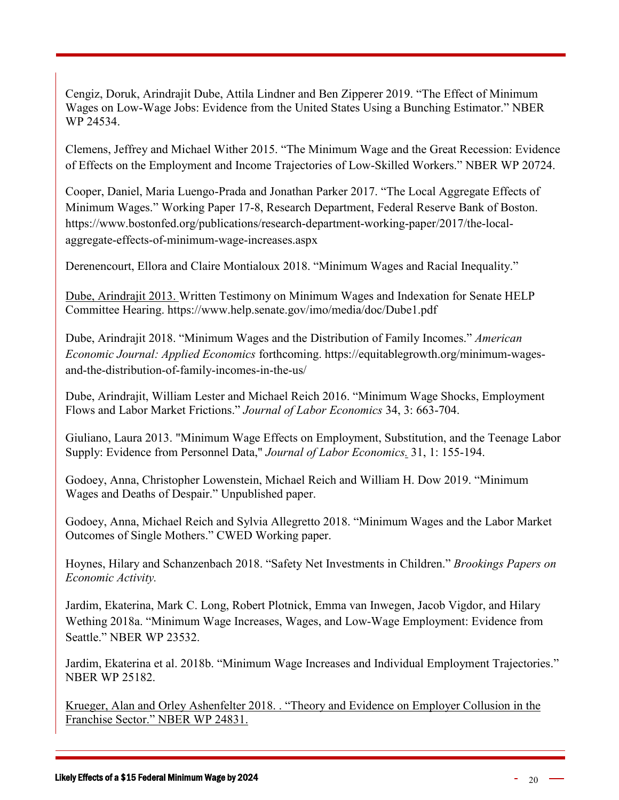Cengiz, Doruk, Arindrajit Dube, Attila Lindner and Ben Zipperer 2019. "The Effect of Minimum Wages on Low-Wage Jobs: Evidence from the United States Using a Bunching Estimator." NBER WP 24534.

Clemens, Jeffrey and Michael Wither 2015. "The Minimum Wage and the Great Recession: Evidence of Effects on the Employment and Income Trajectories of Low-Skilled Workers." NBER WP 20724.

Cooper, Daniel, Maria Luengo-Prada and Jonathan Parker 2017. "The Local Aggregate Effects of Minimum Wages." Working Paper 17-8, Research Department, Federal Reserve Bank of Boston. https://www.bostonfed.org/publications/research-department-working-paper/2017/the-localaggregate-effects-of-minimum-wage-increases.aspx

Derenencourt, Ellora and Claire Montialoux 2018. "Minimum Wages and Racial Inequality."

Dube, Arindrajit 2013. Written Testimony on Minimum Wages and Indexation for Senate HELP Committee Hearing. https://www.help.senate.gov/imo/media/doc/Dube1.pdf

Dube, Arindrajit 2018. "Minimum Wages and the Distribution of Family Incomes." *American Economic Journal: Applied Economics* forthcoming. https://equitablegrowth.org/minimum-wagesand-the-distribution-of-family-incomes-in-the-us/

Dube, Arindrajit, William Lester and Michael Reich 2016. "Minimum Wage Shocks, Employment Flows and Labor Market Frictions." *Journal of Labor Economics* 34, 3: 663-704.

Giuliano, Laura 2013. ["Minimum Wage Effects on Employment, Substitution, and the Teenage Labor](https://ideas.repec.org/a/ucp/jlabec/doi10.1086-666921.html)  Supply: Evidence [from Personnel Data,](https://ideas.repec.org/a/ucp/jlabec/doi10.1086-666921.html)" *[Journal of Labor Economics.](https://ideas.repec.org/s/ucp/jlabec.html)* 31, 1: 155-194.

Godoey, Anna, Christopher Lowenstein, Michael Reich and William H. Dow 2019. "Minimum Wages and Deaths of Despair." Unpublished paper.

Godoey, Anna, Michael Reich and Sylvia Allegretto 2018. "Minimum Wages and the Labor Market Outcomes of Single Mothers." CWED Working paper.

Hoynes, Hilary and Schanzenbach 2018. "Safety Net Investments in Children." *Brookings Papers on Economic Activity.*

Jardim, Ekaterina, Mark C. Long, Robert Plotnick, Emma van Inwegen, Jacob Vigdor, and Hilary Wething 2018a. "Minimum Wage Increases, Wages, and Low-Wage Employment: Evidence from Seattle." NBER WP 23532.

Jardim, Ekaterina et al. 2018b. "Minimum Wage Increases and Individual Employment Trajectories." NBER WP 25182.

Krueger, Alan and Orley Ashenfelter 2018. . "Theory and Evidence on Employer Collusion in the Franchise Sector." NBER WP 24831.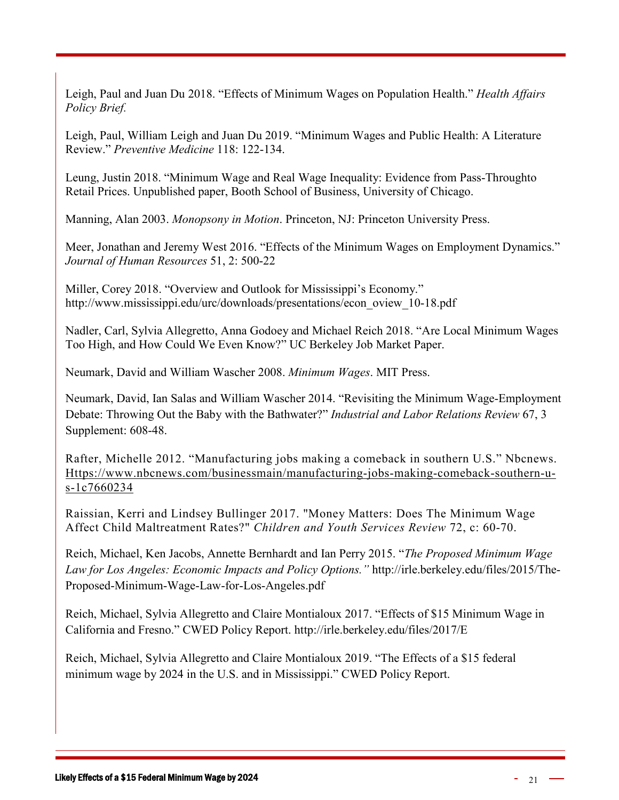Leigh, Paul and Juan Du 2018. "Effects of Minimum Wages on Population Health." *Health Affairs Policy Brief.*

Leigh, Paul, William Leigh and Juan Du 2019. "Minimum Wages and Public Health: A Literature Review." *Preventive Medicine* 118: 122-134.

Leung, Justin 2018. "Minimum Wage and Real Wage Inequality: Evidence from Pass-Throughto Retail Prices. Unpublished paper, Booth School of Business, University of Chicago.

Manning, Alan 2003. *Monopsony in Motion*. Princeton, NJ: Princeton University Press.

Meer, Jonathan and Jeremy West 2016. "Effects of the Minimum Wages on Employment Dynamics." *Journal of Human Resources* 51, 2: 500-22

Miller, Corey 2018. "Overview and Outlook for Mississippi's Economy." http://www.mississippi.edu/urc/downloads/presentations/econ\_oview\_10-18.pdf

Nadler, Carl, Sylvia Allegretto, Anna Godoey and Michael Reich 2018. "Are Local Minimum Wages Too High, and How Could We Even Know?" UC Berkeley Job Market Paper.

Neumark, David and William Wascher 2008. *Minimum Wages*. MIT Press.

Neumark, David, Ian Salas and William Wascher 2014. "Revisiting the Minimum Wage-Employment Debate: Throwing Out the Baby with the Bathwater?" *Industrial and Labor Relations Review* 67, 3 Supplement: 608-48.

Rafter, Michelle 2012. "Manufacturing jobs making a comeback in southern U.S." Nbcnews. [Https://www.nbcnews.com/businessmain/manufacturing-jobs-making-comeback-southern-u](https://www.nbcnews.com/businessmain/manufacturing-jobs-making-comeback-southern-u-s-1C7660234)[s-1c7660234](https://www.nbcnews.com/businessmain/manufacturing-jobs-making-comeback-southern-u-s-1C7660234)

Raissian, Kerri and Lindsey Bullinger 2017. ["Money Matters: Does The Minimum Wage](https://ideas.repec.org/a/eee/cysrev/v72y2017icp60-70.html)  [Affect Child Maltreatment Rates?"](https://ideas.repec.org/a/eee/cysrev/v72y2017icp60-70.html) *[Children and Youth Services Review](https://ideas.repec.org/s/eee/cysrev.html)* 72, c: 60-70.

Reich, Michael, Ken Jacobs, Annette Bernhardt and Ian Perry 2015. "*[The Proposed Minimum Wage](http://irle.berkeley.edu/files/2015/The-Proposed-Minimum-Wage-Law-for-Los-Angeles.pdf)  [Law for Los Angeles: Economic Impacts and Policy Options.](http://irle.berkeley.edu/files/2015/The-Proposed-Minimum-Wage-Law-for-Los-Angeles.pdf)"* http://irle.berkeley.edu/files/2015/The-Proposed-Minimum-Wage-Law-for-Los-Angeles.pdf

Reich, Michael, Sylvia Allegretto and Claire Montialoux 2017. "Effects of \$15 Minimum Wage in California and Fresno." CWED Policy Report. http://irle.berkeley.edu/files/2017/E

Reich, Michael, Sylvia Allegretto and Claire Montialoux 2019. "The Effects of a \$15 federal minimum wage by 2024 in the U.S. and in Mississippi." CWED Policy Report.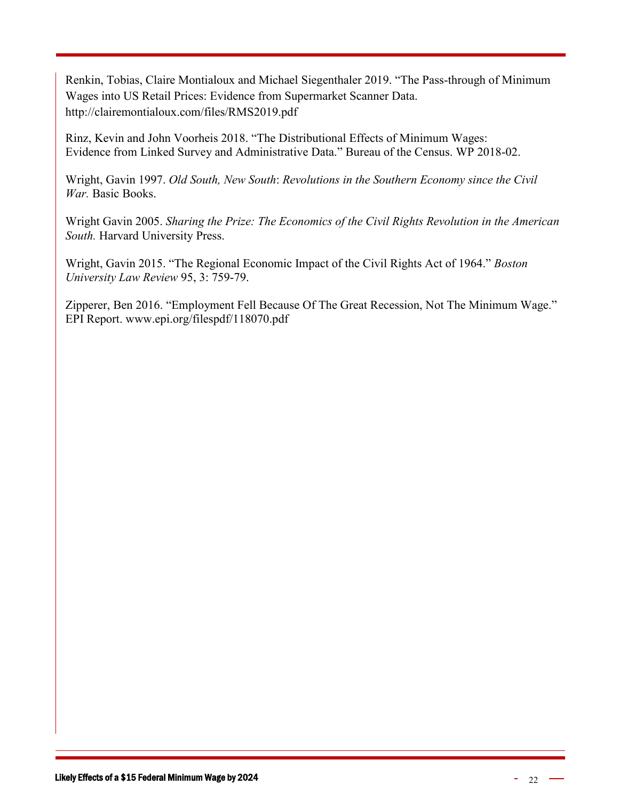Renkin, Tobias, Claire Montialoux and Michael Siegenthaler 2019. "The Pass-through of Minimum Wages into US Retail Prices: Evidence from Supermarket Scanner Data. http://clairemontialoux.com/files/RMS2019.pdf

Rinz, Kevin and John Voorheis 2018. "The Distributional Effects of Minimum Wages: Evidence from Linked Survey and Administrative Data." Bureau of the Census. WP 2018-02.

Wright, Gavin 1997. *Old South, New South*: *Revolutions in the Southern Economy since the Civil War.* Basic Books.

Wright Gavin 2005. *Sharing the Prize: The Economics of the Civil Rights Revolution in the American South.* Harvard University Press.

Wright, Gavin 2015. "The Regional Economic Impact of the Civil Rights Act of 1964." *Boston University Law Review* 95, 3: 759-79.

Zipperer, Ben 2016. "Employment Fell Because Of The Great Recession, Not The Minimum Wage." EPI Report. [www.epi.org/filespdf/118070.pdf](http://www.epi.org/filespdf/118070.pdf)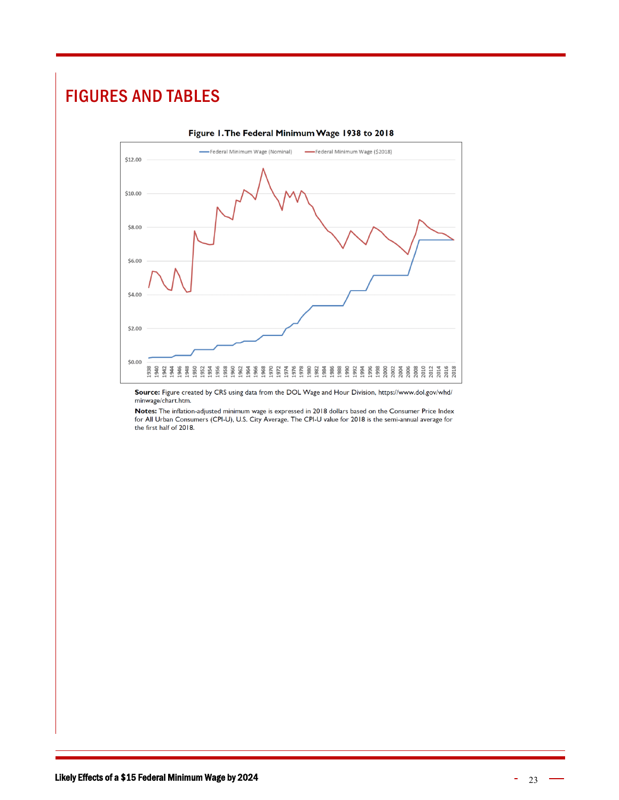# <span id="page-22-0"></span>FIGURES AND TABLES



Source: Figure created by CRS using data from the DOL Wage and Hour Division, https://www.dol.gov/whd/ minwage/chart.htm.

Notes: The inflation-adjusted minimum wage is expressed in 2018 dollars based on the Consumer Price Index for All Urban Consumers (CPI-U), U.S. City Average. The CPI-U value for 2018 is the semi-annual average for the first half of 2018.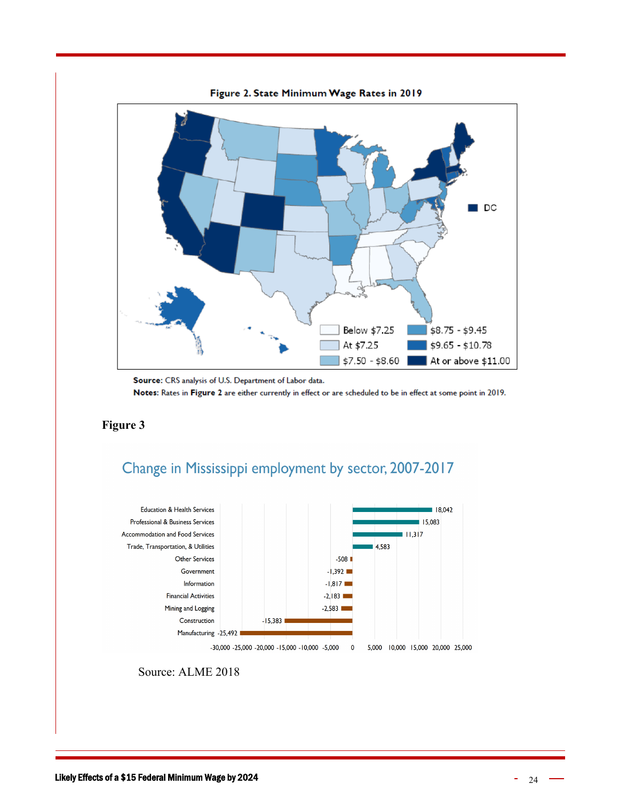

Source: CRS analysis of U.S. Department of Labor data. Notes: Rates in Figure 2 are either currently in effect or are scheduled to be in effect at some point in 2019.

#### **Figure 3**





Source: ALME 2018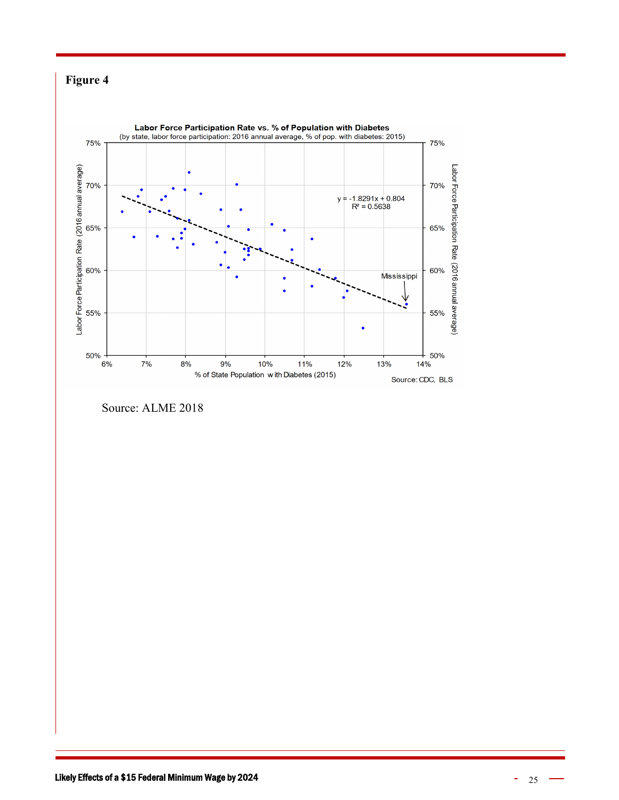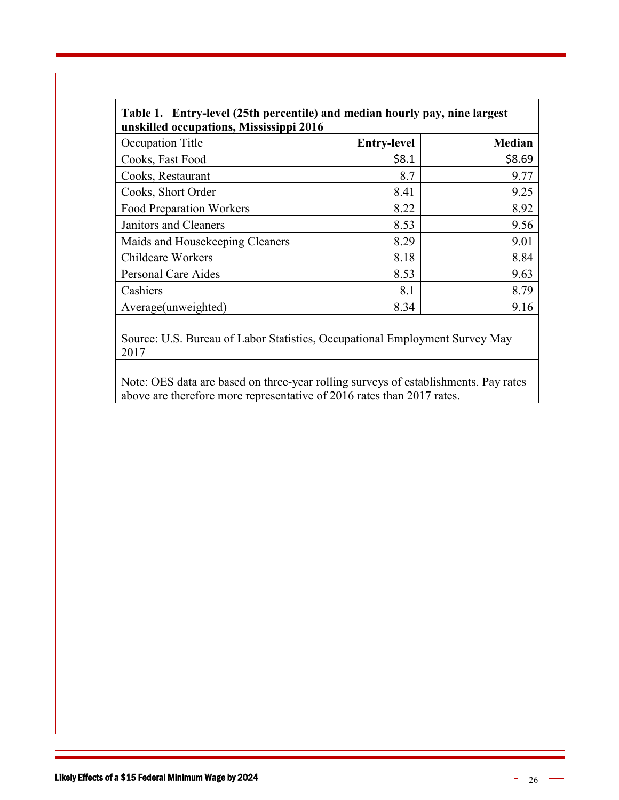| Table 1. Entry-level (25th percentile) and median hourly pay, nine largest<br>unskilled occupations, Mississippi 2016 |                    |               |  |  |  |  |  |
|-----------------------------------------------------------------------------------------------------------------------|--------------------|---------------|--|--|--|--|--|
| Occupation Title                                                                                                      | <b>Entry-level</b> | <b>Median</b> |  |  |  |  |  |
| Cooks, Fast Food                                                                                                      | \$8.1              | \$8.69        |  |  |  |  |  |
| Cooks, Restaurant                                                                                                     | 8.7                | 9.77          |  |  |  |  |  |
| Cooks, Short Order                                                                                                    | 8.41               | 9.25          |  |  |  |  |  |
| <b>Food Preparation Workers</b>                                                                                       | 8.22               | 8.92          |  |  |  |  |  |
| Janitors and Cleaners                                                                                                 | 8.53               | 9.56          |  |  |  |  |  |
| Maids and Housekeeping Cleaners                                                                                       | 8.29               | 9.01          |  |  |  |  |  |
| <b>Childcare Workers</b>                                                                                              | 8.18               | 8.84          |  |  |  |  |  |
| Personal Care Aides                                                                                                   | 8.53               | 9.63          |  |  |  |  |  |
| Cashiers                                                                                                              | 8.1                | 8.79          |  |  |  |  |  |
| Average(unweighted)                                                                                                   | 8.34               | 9.16          |  |  |  |  |  |

Source: U.S. Bureau of Labor Statistics, Occupational Employment Survey May 2017

Note: OES data are based on three-year rolling surveys of establishments. Pay rates above are therefore more representative of 2016 rates than 2017 rates.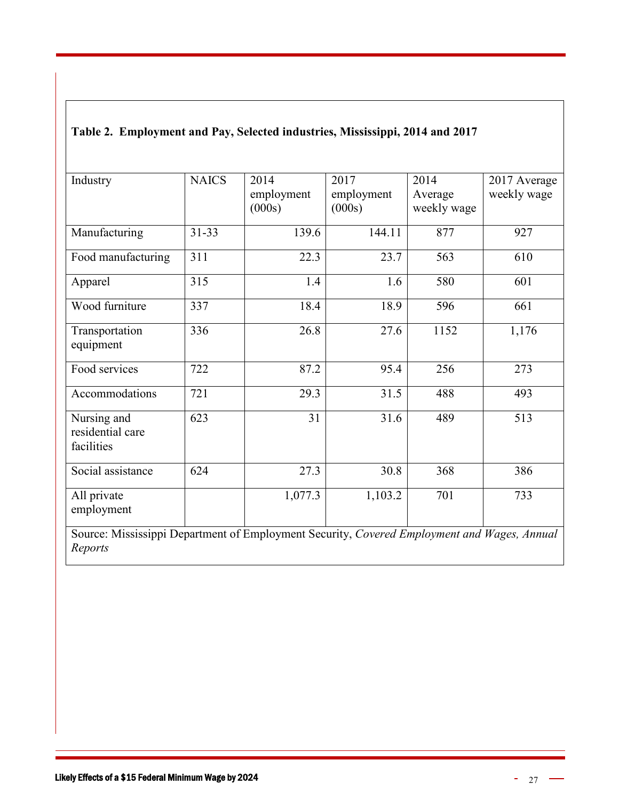| Industry                                      | <b>NAICS</b> | 2014<br>employment<br>(000s) | 2017<br>employment<br>(000s) | 2014<br>Average<br>weekly wage | 2017 Average<br>weekly wage |
|-----------------------------------------------|--------------|------------------------------|------------------------------|--------------------------------|-----------------------------|
| Manufacturing                                 | $31 - 33$    | 139.6                        | 144.11                       | 877                            | 927                         |
| Food manufacturing                            | 311          | 22.3                         | 23.7                         | 563                            | 610                         |
| Apparel                                       | 315          | 1.4                          | 1.6                          | 580                            | 601                         |
| Wood furniture                                | 337          | 18.4                         | 18.9                         | 596                            | 661                         |
| Transportation<br>equipment                   | 336          | 26.8                         | 27.6                         | 1152                           | 1,176                       |
| Food services                                 | 722          | 87.2                         | 95.4                         | 256                            | 273                         |
| Accommodations                                | 721          | 29.3                         | 31.5                         | 488                            | 493                         |
| Nursing and<br>residential care<br>facilities | 623          | 31                           | 31.6                         | 489                            | 513                         |
| Social assistance                             | 624          | 27.3                         | 30.8                         | 368                            | 386                         |
| All private<br>employment                     |              | 1,077.3                      | 1,103.2                      | 701                            | 733                         |

#### **Table 2. Employment and Pay, Selected industries, Mississippi, 2014 and 2017**

Source: Mississippi Department of Employment Security, *Covered Employment and Wages, Annual Reports*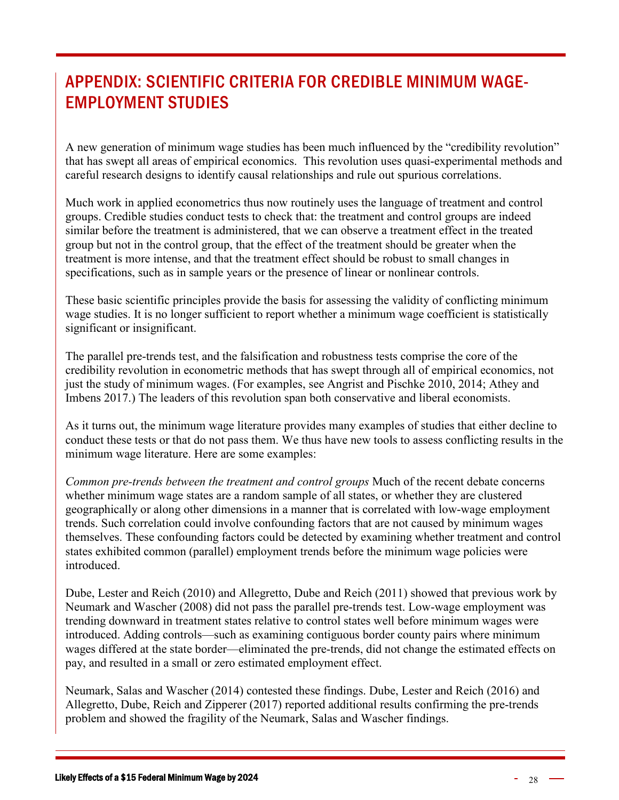# <span id="page-27-0"></span>APPENDIX: SCIENTIFIC CRITERIA FOR CREDIBLE MINIMUM WAGE-EMPLOYMENT STUDIES

A new generation of minimum wage studies has been much influenced by the "credibility revolution" that has swept all areas of empirical economics. This revolution uses quasi-experimental methods and careful research designs to identify causal relationships and rule out spurious correlations.

Much work in applied econometrics thus now routinely uses the language of treatment and control groups. Credible studies conduct tests to check that: the treatment and control groups are indeed similar before the treatment is administered, that we can observe a treatment effect in the treated group but not in the control group, that the effect of the treatment should be greater when the treatment is more intense, and that the treatment effect should be robust to small changes in specifications, such as in sample years or the presence of linear or nonlinear controls.

These basic scientific principles provide the basis for assessing the validity of conflicting minimum wage studies. It is no longer sufficient to report whether a minimum wage coefficient is statistically significant or insignificant.

The parallel pre-trends test, and the falsification and robustness tests comprise the core of the credibility revolution in econometric methods that has swept through all of empirical economics, not just the study of minimum wages. (For examples, see Angrist and Pischke 2010, 2014; Athey and Imbens 2017.) The leaders of this revolution span both conservative and liberal economists.

As it turns out, the minimum wage literature provides many examples of studies that either decline to conduct these tests or that do not pass them. We thus have new tools to assess conflicting results in the minimum wage literature. Here are some examples:

*Common pre-trends between the treatment and control groups* Much of the recent debate concerns whether minimum wage states are a random sample of all states, or whether they are clustered geographically or along other dimensions in a manner that is correlated with low-wage employment trends. Such correlation could involve confounding factors that are not caused by minimum wages themselves. These confounding factors could be detected by examining whether treatment and control states exhibited common (parallel) employment trends before the minimum wage policies were introduced.

Dube, Lester and Reich (2010) and Allegretto, Dube and Reich (2011) showed that previous work by Neumark and Wascher (2008) did not pass the parallel pre-trends test. Low-wage employment was trending downward in treatment states relative to control states well before minimum wages were introduced. Adding controls—such as examining contiguous border county pairs where minimum wages differed at the state border—eliminated the pre-trends, did not change the estimated effects on pay, and resulted in a small or zero estimated employment effect.

Neumark, Salas and Wascher (2014) contested these findings. Dube, Lester and Reich (2016) and Allegretto, Dube, Reich and Zipperer (2017) reported additional results confirming the pre-trends problem and showed the fragility of the Neumark, Salas and Wascher findings.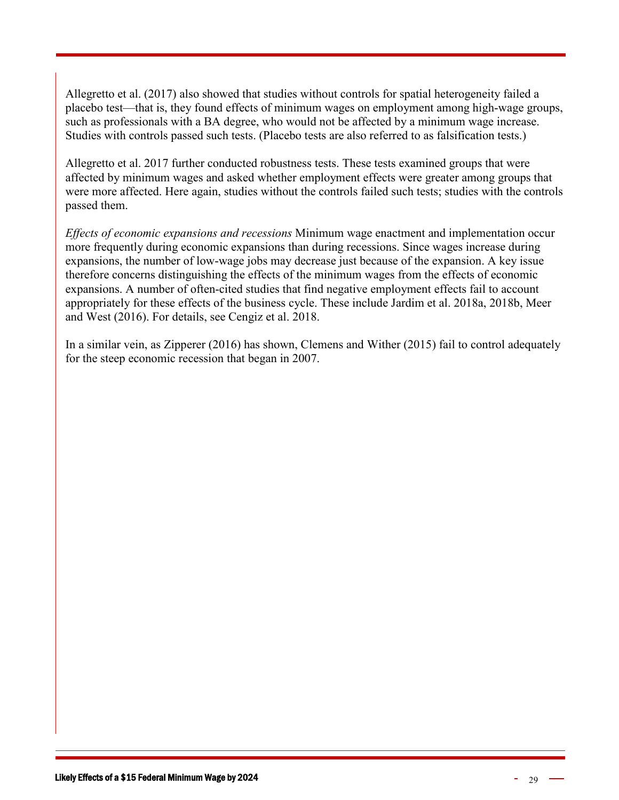Allegretto et al. (2017) also showed that studies without controls for spatial heterogeneity failed a placebo test—that is, they found effects of minimum wages on employment among high-wage groups, such as professionals with a BA degree, who would not be affected by a minimum wage increase. Studies with controls passed such tests. (Placebo tests are also referred to as falsification tests.)

Allegretto et al. 2017 further conducted robustness tests. These tests examined groups that were affected by minimum wages and asked whether employment effects were greater among groups that were more affected. Here again, studies without the controls failed such tests; studies with the controls passed them.

*Effects of economic expansions and recessions* Minimum wage enactment and implementation occur more frequently during economic expansions than during recessions. Since wages increase during expansions, the number of low-wage jobs may decrease just because of the expansion. A key issue therefore concerns distinguishing the effects of the minimum wages from the effects of economic expansions. A number of often-cited studies that find negative employment effects fail to account appropriately for these effects of the business cycle. These include Jardim et al. 2018a, 2018b, Meer and West (2016). For details, see Cengiz et al. 2018.

In a similar vein, as Zipperer (2016) has shown, Clemens and Wither (2015) fail to control adequately for the steep economic recession that began in 2007.